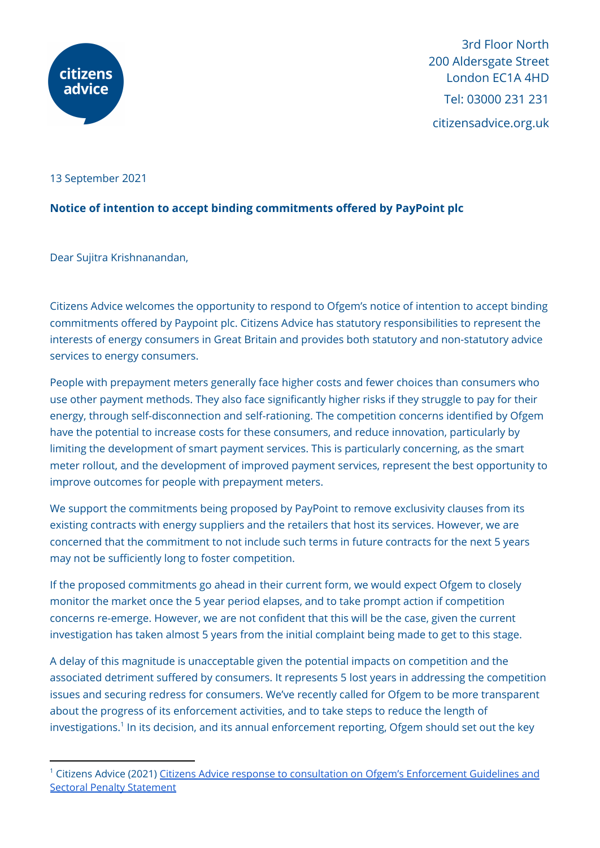

3rd Floor North 200 Aldersgate Street London EC1A 4HD Tel: 03000 231 231 citizensadvice.org.uk

13 September 2021

## **Notice of intention to accept binding commitments offered by PayPoint plc**

Dear Sujitra Krishnanandan,

Citizens Advice welcomes the opportunity to respond to Ofgem's notice of intention to accept binding commitments offered by Paypoint plc. Citizens Advice has statutory responsibilities to represent the interests of energy consumers in Great Britain and provides both statutory and non-statutory advice services to energy consumers.

People with prepayment meters generally face higher costs and fewer choices than consumers who use other payment methods. They also face significantly higher risks if they struggle to pay for their energy, through self-disconnection and self-rationing. The competition concerns identified by Ofgem have the potential to increase costs for these consumers, and reduce innovation, particularly by limiting the development of smart payment services. This is particularly concerning, as the smart meter rollout, and the development of improved payment services, represent the best opportunity to improve outcomes for people with prepayment meters.

We support the commitments being proposed by PayPoint to remove exclusivity clauses from its existing contracts with energy suppliers and the retailers that host its services. However, we are concerned that the commitment to not include such terms in future contracts for the next 5 years may not be sufficiently long to foster competition.

If the proposed commitments go ahead in their current form, we would expect Ofgem to closely monitor the market once the 5 year period elapses, and to take prompt action if competition concerns re-emerge. However, we are not confident that this will be the case, given the current investigation has taken almost 5 years from the initial complaint being made to get to this stage.

A delay of this magnitude is unacceptable given the potential impacts on competition and the associated detriment suffered by consumers. It represents 5 lost years in addressing the competition issues and securing redress for consumers. We've recently called for Ofgem to be more transparent about the progress of its enforcement activities, and to take steps to reduce the length of investigations.<sup>1</sup> In its decision, and its annual enforcement reporting, Ofgem should set out the key

<sup>&</sup>lt;sup>1</sup> Citizens Advice (2021) Citizens Advice response to consultation on Ofgem's [Enforcement](https://www.citizensadvice.org.uk/about-us/our-work/policy/policy-research-topics/energy-policy-research-and-consultation-responses/energy-consultation-responses/citizens-advice-response-to-consultation-on-ofgems-enforcement-guidelines-and-sectoral-penalty-statement/) Guidelines and Sectoral Penalty [Statement](https://www.citizensadvice.org.uk/about-us/our-work/policy/policy-research-topics/energy-policy-research-and-consultation-responses/energy-consultation-responses/citizens-advice-response-to-consultation-on-ofgems-enforcement-guidelines-and-sectoral-penalty-statement/)